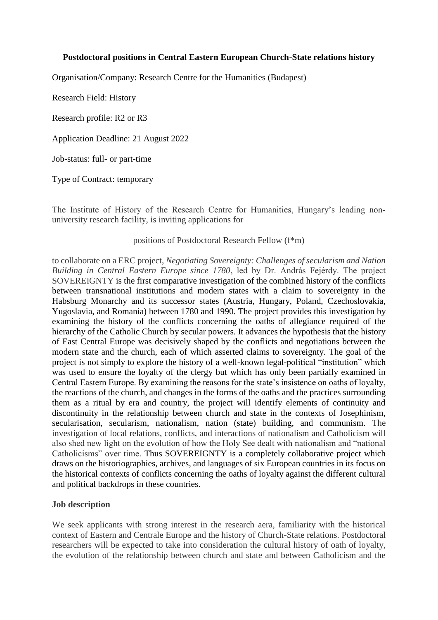### **Postdoctoral positions in Central Eastern European Church-State relations history**

Organisation/Company: Research Centre for the Humanities (Budapest)

Research Field: History

Research profile: R2 or R3

Application Deadline: 21 August 2022

Job-status: full- or part-time

Type of Contract: temporary

The Institute of History of the Research Centre for Humanities, Hungary's leading nonuniversity research facility, is inviting applications for

#### positions of Postdoctoral Research Fellow (f\*m)

to collaborate on a ERC project, *Negotiating Sovereignty: Challenges of secularism and Nation Building in Central Eastern Europe since 1780*, led by Dr. András Fejérdy. The project SOVEREIGNTY is the first comparative investigation of the combined history of the conflicts between transnational institutions and modern states with a claim to sovereignty in the Habsburg Monarchy and its successor states (Austria, Hungary, Poland, Czechoslovakia, Yugoslavia, and Romania) between 1780 and 1990. The project provides this investigation by examining the history of the conflicts concerning the oaths of allegiance required of the hierarchy of the Catholic Church by secular powers. It advances the hypothesis that the history of East Central Europe was decisively shaped by the conflicts and negotiations between the modern state and the church, each of which asserted claims to sovereignty. The goal of the project is not simply to explore the history of a well-known legal-political "institution" which was used to ensure the loyalty of the clergy but which has only been partially examined in Central Eastern Europe. By examining the reasons for the state's insistence on oaths of loyalty, the reactions of the church, and changes in the forms of the oaths and the practices surrounding them as a ritual by era and country, the project will identify elements of continuity and discontinuity in the relationship between church and state in the contexts of Josephinism, secularisation, secularism, nationalism, nation (state) building, and communism. The investigation of local relations, conflicts, and interactions of nationalism and Catholicism will also shed new light on the evolution of how the Holy See dealt with nationalism and "national Catholicisms" over time. Thus SOVEREIGNTY is a completely collaborative project which draws on the historiographies, archives, and languages of six European countries in its focus on the historical contexts of conflicts concerning the oaths of loyalty against the different cultural and political backdrops in these countries.

#### **Job description**

We seek applicants with strong interest in the research aera, familiarity with the historical context of Eastern and Centrale Europe and the history of Church-State relations. Postdoctoral researchers will be expected to take into consideration the cultural history of oath of loyalty, the evolution of the relationship between church and state and between Catholicism and the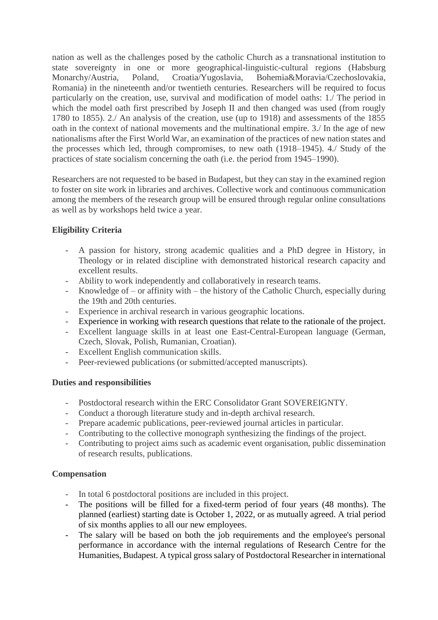nation as well as the challenges posed by the catholic Church as a transnational institution to state sovereignty in one or more geographical-linguistic-cultural regions (Habsburg Monarchy/Austria, Poland, Croatia/Yugoslavia, Bohemia&Moravia/Czechoslovakia, Romania) in the nineteenth and/or twentieth centuries. Researchers will be required to focus particularly on the creation, use, survival and modification of model oaths: 1./ The period in which the model oath first prescribed by Joseph II and then changed was used (from rougly 1780 to 1855). 2./ An analysis of the creation, use (up to 1918) and assessments of the 1855 oath in the context of national movements and the multinational empire. 3./ In the age of new nationalisms after the First World War, an examination of the practices of new nation states and the processes which led, through compromises, to new oath (1918–1945). 4./ Study of the practices of state socialism concerning the oath (i.e. the period from 1945–1990).

Researchers are not requested to be based in Budapest, but they can stay in the examined region to foster on site work in libraries and archives. Collective work and continuous communication among the members of the research group will be ensured through regular online consultations as well as by workshops held twice a year.

# **Eligibility Criteria**

- A passion for history, strong academic qualities and a PhD degree in History, in Theology or in related discipline with demonstrated historical research capacity and excellent results.
- Ability to work independently and collaboratively in research teams.
- Knowledge of or affinity with the history of the Catholic Church, especially during the 19th and 20th centuries.
- Experience in archival research in various geographic locations.
- Experience in working with research questions that relate to the rationale of the project.
- Excellent language skills in at least one East-Central-European language (German, Czech, Slovak, Polish, Rumanian, Croatian).
- Excellent English communication skills.
- Peer-reviewed publications (or submitted/accepted manuscripts).

## **Duties and responsibilities**

- Postdoctoral research within the ERC Consolidator Grant SOVEREIGNTY.
- Conduct a thorough literature study and in-depth archival research.
- Prepare academic publications, peer-reviewed journal articles in particular.
- Contributing to the collective monograph synthesizing the findings of the project.
- Contributing to project aims such as academic event organisation, public dissemination of research results, publications.

## **Compensation**

- In total 6 postdoctoral positions are included in this project.
- The positions will be filled for a fixed-term period of four years (48 months). The planned (earliest) starting date is October 1, 2022, or as mutually agreed. A trial period of six months applies to all our new employees.
- The salary will be based on both the job requirements and the employee's personal performance in accordance with the internal regulations of Research Centre for the Humanities, Budapest. A typical gross salary of Postdoctoral Researcher in international